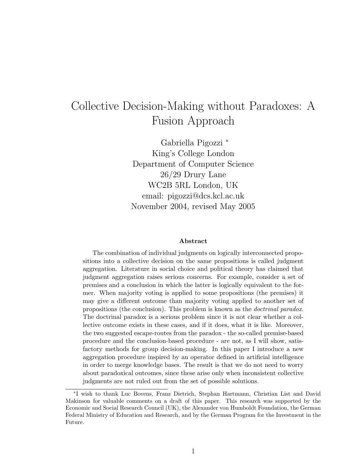# Collective Decision-Making without Paradoxes: A Fusion Approach

Gabriella Pigozzi <sup>∗</sup> King's College London Department of Computer Science 26/29 Drury Lane WC2B 5RL London, UK email: pigozzi@dcs.kcl.ac.uk November 2004, revised May 2005

#### Abstract

The combination of individual judgments on logically interconnected propositions into a collective decision on the same propositions is called judgment aggregation. Literature in social choice and political theory has claimed that judgment aggregation raises serious concerns. For example, consider a set of premises and a conclusion in which the latter is logically equivalent to the former. When majority voting is applied to some propositions (the premises) it may give a different outcome than majority voting applied to another set of propositions (the conclusion). This problem is known as the doctrinal paradox. The doctrinal paradox is a serious problem since it is not clear whether a collective outcome exists in these cases, and if it does, what it is like. Moreover, the two suggested escape-routes from the paradox - the so-called premise-based procedure and the conclusion-based procedure - are not, as I will show, satisfactory methods for group decision-making. In this paper I introduce a new aggregation procedure inspired by an operator defined in artificial intelligence in order to merge knowledge bases. The result is that we do not need to worry about paradoxical outcomes, since these arise only when inconsistent collective judgments are not ruled out from the set of possible solutions.

<sup>∗</sup> I wish to thank Luc Bovens, Franz Dietrich, Stephan Hartmann, Christian List and David Makinson for valuable comments on a draft of this paper. This research was supported by the Economic and Social Research Council (UK), the Alexander von Humboldt Foundation, the German Federal Ministry of Education and Research, and by the German Program for the Investment in the Future.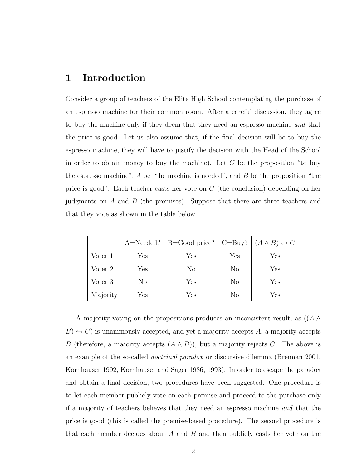#### 1 Introduction

Consider a group of teachers of the Elite High School contemplating the purchase of an espresso machine for their common room. After a careful discussion, they agree to buy the machine only if they deem that they need an espresso machine and that the price is good. Let us also assume that, if the final decision will be to buy the espresso machine, they will have to justify the decision with the Head of the School in order to obtain money to buy the machine). Let  $C$  be the proposition "to buy the espresso machine",  $A$  be "the machine is needed", and  $B$  be the proposition "the price is good". Each teacher casts her vote on C (the conclusion) depending on her judgments on A and B (the premises). Suppose that there are three teachers and that they vote as shown in the table below.

|          |     | A=Needed?   B=Good price?   C=Buy?   $(A \wedge B) \leftrightarrow C$ |     |     |
|----------|-----|-----------------------------------------------------------------------|-----|-----|
| Voter 1  | Yes | Yes                                                                   | Yes | Yes |
| Voter 2  | Yes | No                                                                    | No  | Yes |
| Voter 3  | No  | Yes                                                                   | No  | Yes |
| Majority | Yes | Yes                                                                   | No  | Yes |

A majority voting on the propositions produces an inconsistent result, as  $((A \wedge$  $B$   $\leftrightarrow$  C) is unanimously accepted, and yet a majority accepts A, a majority accepts B (therefore, a majority accepts  $(A \wedge B)$ ), but a majority rejects C. The above is an example of the so-called doctrinal paradox or discursive dilemma (Brennan 2001, Kornhauser 1992, Kornhauser and Sager 1986, 1993). In order to escape the paradox and obtain a final decision, two procedures have been suggested. One procedure is to let each member publicly vote on each premise and proceed to the purchase only if a majority of teachers believes that they need an espresso machine and that the price is good (this is called the premise-based procedure). The second procedure is that each member decides about  $A$  and  $B$  and then publicly casts her vote on the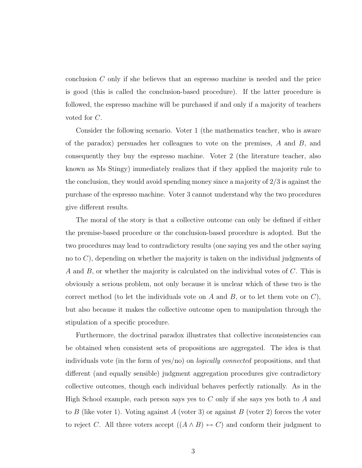conclusion C only if she believes that an espresso machine is needed and the price is good (this is called the conclusion-based procedure). If the latter procedure is followed, the espresso machine will be purchased if and only if a majority of teachers voted for C.

Consider the following scenario. Voter 1 (the mathematics teacher, who is aware of the paradox) persuades her colleagues to vote on the premises, A and B, and consequently they buy the espresso machine. Voter 2 (the literature teacher, also known as Ms Stingy) immediately realizes that if they applied the majority rule to the conclusion, they would avoid spending money since a majority of 2/3 is against the purchase of the espresso machine. Voter 3 cannot understand why the two procedures give different results.

The moral of the story is that a collective outcome can only be defined if either the premise-based procedure or the conclusion-based procedure is adopted. But the two procedures may lead to contradictory results (one saying yes and the other saying no to  $C$ ), depending on whether the majority is taken on the individual judgments of A and B, or whether the majority is calculated on the individual votes of C. This is obviously a serious problem, not only because it is unclear which of these two is the correct method (to let the individuals vote on A and B, or to let them vote on  $C$ ), but also because it makes the collective outcome open to manipulation through the stipulation of a specific procedure.

Furthermore, the doctrinal paradox illustrates that collective inconsistencies can be obtained when consistent sets of propositions are aggregated. The idea is that individuals vote (in the form of yes/no) on logically connected propositions, and that different (and equally sensible) judgment aggregation procedures give contradictory collective outcomes, though each individual behaves perfectly rationally. As in the High School example, each person says yes to  $C$  only if she says yes both to  $A$  and to B (like voter 1). Voting against A (voter 3) or against B (voter 2) forces the voter to reject C. All three voters accept  $((A \wedge B) \leftrightarrow C)$  and conform their judgment to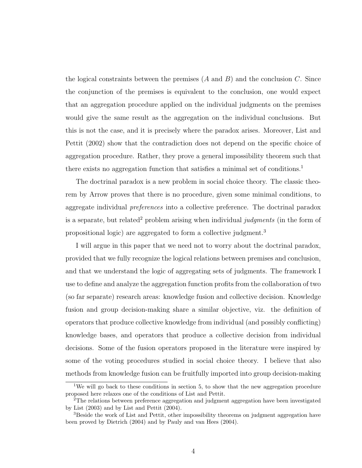the logical constraints between the premises  $(A \text{ and } B)$  and the conclusion C. Since the conjunction of the premises is equivalent to the conclusion, one would expect that an aggregation procedure applied on the individual judgments on the premises would give the same result as the aggregation on the individual conclusions. But this is not the case, and it is precisely where the paradox arises. Moreover, List and Pettit (2002) show that the contradiction does not depend on the specific choice of aggregation procedure. Rather, they prove a general impossibility theorem such that there exists no aggregation function that satisfies a minimal set of conditions.<sup>1</sup>

The doctrinal paradox is a new problem in social choice theory. The classic theorem by Arrow proves that there is no procedure, given some minimal conditions, to aggregate individual preferences into a collective preference. The doctrinal paradox is a separate, but related<sup>2</sup> problem arising when individual judgments (in the form of propositional logic) are aggregated to form a collective judgment.<sup>3</sup>

I will argue in this paper that we need not to worry about the doctrinal paradox, provided that we fully recognize the logical relations between premises and conclusion, and that we understand the logic of aggregating sets of judgments. The framework I use to define and analyze the aggregation function profits from the collaboration of two (so far separate) research areas: knowledge fusion and collective decision. Knowledge fusion and group decision-making share a similar objective, viz. the definition of operators that produce collective knowledge from individual (and possibly conflicting) knowledge bases, and operators that produce a collective decision from individual decisions. Some of the fusion operators proposed in the literature were inspired by some of the voting procedures studied in social choice theory. I believe that also methods from knowledge fusion can be fruitfully imported into group decision-making

<sup>&</sup>lt;sup>1</sup>We will go back to these conditions in section 5, to show that the new aggregation procedure proposed here relaxes one of the conditions of List and Pettit.

<sup>2</sup>The relations between preference aggregation and judgment aggregation have been investigated by List (2003) and by List and Pettit (2004).

<sup>&</sup>lt;sup>3</sup>Beside the work of List and Pettit, other impossibility theorems on judgment aggregation have been proved by Dietrich (2004) and by Pauly and van Hees (2004).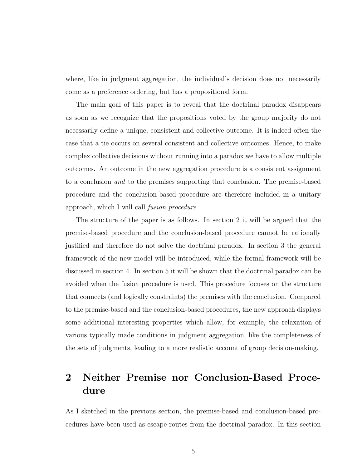where, like in judgment aggregation, the individual's decision does not necessarily come as a preference ordering, but has a propositional form.

The main goal of this paper is to reveal that the doctrinal paradox disappears as soon as we recognize that the propositions voted by the group majority do not necessarily define a unique, consistent and collective outcome. It is indeed often the case that a tie occurs on several consistent and collective outcomes. Hence, to make complex collective decisions without running into a paradox we have to allow multiple outcomes. An outcome in the new aggregation procedure is a consistent assignment to a conclusion and to the premises supporting that conclusion. The premise-based procedure and the conclusion-based procedure are therefore included in a unitary approach, which I will call fusion procedure.

The structure of the paper is as follows. In section 2 it will be argued that the premise-based procedure and the conclusion-based procedure cannot be rationally justified and therefore do not solve the doctrinal paradox. In section 3 the general framework of the new model will be introduced, while the formal framework will be discussed in section 4. In section 5 it will be shown that the doctrinal paradox can be avoided when the fusion procedure is used. This procedure focuses on the structure that connects (and logically constraints) the premises with the conclusion. Compared to the premise-based and the conclusion-based procedures, the new approach displays some additional interesting properties which allow, for example, the relaxation of various typically made conditions in judgment aggregation, like the completeness of the sets of judgments, leading to a more realistic account of group decision-making.

## 2 Neither Premise nor Conclusion-Based Procedure

As I sketched in the previous section, the premise-based and conclusion-based procedures have been used as escape-routes from the doctrinal paradox. In this section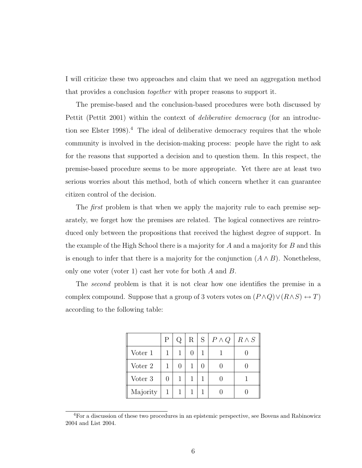I will criticize these two approaches and claim that we need an aggregation method that provides a conclusion together with proper reasons to support it.

The premise-based and the conclusion-based procedures were both discussed by Pettit (Pettit 2001) within the context of deliberative democracy (for an introduction see Elster 1998).<sup>4</sup> The ideal of deliberative democracy requires that the whole community is involved in the decision-making process: people have the right to ask for the reasons that supported a decision and to question them. In this respect, the premise-based procedure seems to be more appropriate. Yet there are at least two serious worries about this method, both of which concern whether it can guarantee citizen control of the decision.

The *first* problem is that when we apply the majority rule to each premise separately, we forget how the premises are related. The logical connectives are reintroduced only between the propositions that received the highest degree of support. In the example of the High School there is a majority for  $A$  and a majority for  $B$  and this is enough to infer that there is a majority for the conjunction  $(A \wedge B)$ . Nonetheless, only one voter (voter 1) cast her vote for both A and B.

The second problem is that it is not clear how one identifies the premise in a complex compound. Suppose that a group of 3 voters votes on  $(P \land Q) \lor (R \land S) \leftrightarrow T)$ according to the following table:

|          | P | Q                | R <sub>1</sub> | $S \mid P \wedge Q$ | $R \wedge S$ |
|----------|---|------------------|----------------|---------------------|--------------|
| Voter 1  |   |                  |                |                     |              |
| Voter 2  |   | $\left( \right)$ |                |                     |              |
| Voter 3  |   |                  |                |                     |              |
| Majority | 1 |                  |                |                     |              |

<sup>&</sup>lt;sup>4</sup>For a discussion of these two procedures in an epistemic perspective, see Bovens and Rabinowicz 2004 and List 2004.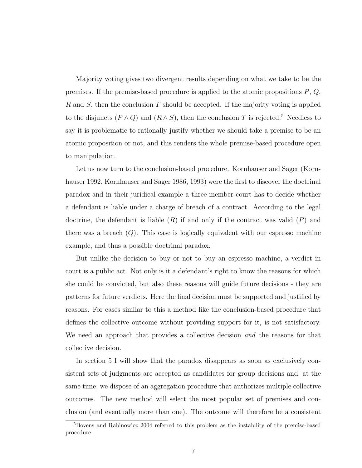Majority voting gives two divergent results depending on what we take to be the premises. If the premise-based procedure is applied to the atomic propositions  $P, Q$ , R and S, then the conclusion  $T$  should be accepted. If the majority voting is applied to the disjuncts  $(P \wedge Q)$  and  $(R \wedge S)$ , then the conclusion T is rejected.<sup>5</sup> Needless to say it is problematic to rationally justify whether we should take a premise to be an atomic proposition or not, and this renders the whole premise-based procedure open to manipulation.

Let us now turn to the conclusion-based procedure. Kornhauser and Sager (Kornhauser 1992, Kornhauser and Sager 1986, 1993) were the first to discover the doctrinal paradox and in their juridical example a three-member court has to decide whether a defendant is liable under a charge of breach of a contract. According to the legal doctrine, the defendant is liable  $(R)$  if and only if the contract was valid  $(P)$  and there was a breach  $(Q)$ . This case is logically equivalent with our espresso machine example, and thus a possible doctrinal paradox.

But unlike the decision to buy or not to buy an espresso machine, a verdict in court is a public act. Not only is it a defendant's right to know the reasons for which she could be convicted, but also these reasons will guide future decisions - they are patterns for future verdicts. Here the final decision must be supported and justified by reasons. For cases similar to this a method like the conclusion-based procedure that defines the collective outcome without providing support for it, is not satisfactory. We need an approach that provides a collective decision *and* the reasons for that collective decision.

In section 5 I will show that the paradox disappears as soon as exclusively consistent sets of judgments are accepted as candidates for group decisions and, at the same time, we dispose of an aggregation procedure that authorizes multiple collective outcomes. The new method will select the most popular set of premises and conclusion (and eventually more than one). The outcome will therefore be a consistent

<sup>5</sup>Bovens and Rabinowicz 2004 referred to this problem as the instability of the premise-based procedure.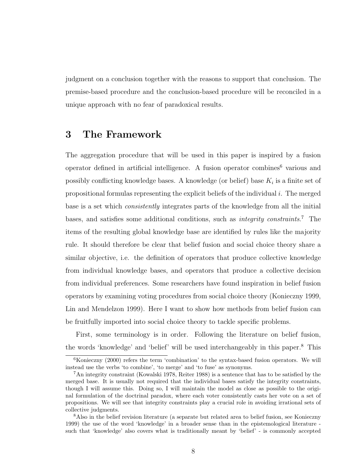judgment on a conclusion together with the reasons to support that conclusion. The premise-based procedure and the conclusion-based procedure will be reconciled in a unique approach with no fear of paradoxical results.

## 3 The Framework

The aggregation procedure that will be used in this paper is inspired by a fusion operator defined in artificial intelligence. A fusion operator combines<sup>6</sup> various and possibly conflicting knowledge bases. A knowledge (or belief) base  $K_i$  is a finite set of propositional formulas representing the explicit beliefs of the individual  $i$ . The merged base is a set which consistently integrates parts of the knowledge from all the initial bases, and satisfies some additional conditions, such as *integrity constraints*.<sup>7</sup> The items of the resulting global knowledge base are identified by rules like the majority rule. It should therefore be clear that belief fusion and social choice theory share a similar objective, i.e. the definition of operators that produce collective knowledge from individual knowledge bases, and operators that produce a collective decision from individual preferences. Some researchers have found inspiration in belief fusion operators by examining voting procedures from social choice theory (Konieczny 1999, Lin and Mendelzon 1999). Here I want to show how methods from belief fusion can be fruitfully imported into social choice theory to tackle specific problems.

First, some terminology is in order. Following the literature on belief fusion, the words 'knowledge' and 'belief' will be used interchangeably in this paper.<sup>8</sup> This

 ${}^{6}$ Konieczny (2000) refers the term 'combination' to the syntax-based fusion operators. We will instead use the verbs 'to combine', 'to merge' and 'to fuse' as synonyms.

<sup>7</sup>An integrity constraint (Kowalski 1978, Reiter 1988) is a sentence that has to be satisfied by the merged base. It is usually not required that the individual bases satisfy the integrity constraints, though I will assume this. Doing so, I will maintain the model as close as possible to the original formulation of the doctrinal paradox, where each voter consistently casts her vote on a set of propositions. We will see that integrity constraints play a crucial role in avoiding irrational sets of collective judgments.

<sup>&</sup>lt;sup>8</sup>Also in the belief revision literature (a separate but related area to belief fusion, see Konieczny 1999) the use of the word 'knowledge' in a broader sense than in the epistemological literature such that 'knowledge' also covers what is traditionally meant by 'belief' - is commonly accepted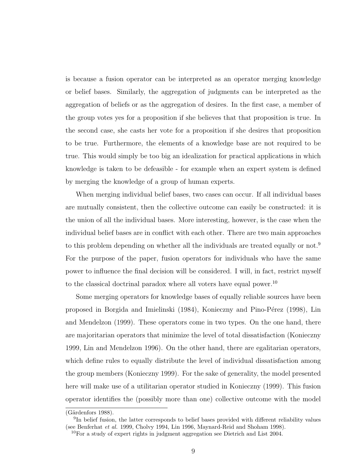is because a fusion operator can be interpreted as an operator merging knowledge or belief bases. Similarly, the aggregation of judgments can be interpreted as the aggregation of beliefs or as the aggregation of desires. In the first case, a member of the group votes yes for a proposition if she believes that that proposition is true. In the second case, she casts her vote for a proposition if she desires that proposition to be true. Furthermore, the elements of a knowledge base are not required to be true. This would simply be too big an idealization for practical applications in which knowledge is taken to be defeasible - for example when an expert system is defined by merging the knowledge of a group of human experts.

When merging individual belief bases, two cases can occur. If all individual bases are mutually consistent, then the collective outcome can easily be constructed: it is the union of all the individual bases. More interesting, however, is the case when the individual belief bases are in conflict with each other. There are two main approaches to this problem depending on whether all the individuals are treated equally or not.<sup>9</sup> For the purpose of the paper, fusion operators for individuals who have the same power to influence the final decision will be considered. I will, in fact, restrict myself to the classical doctrinal paradox where all voters have equal power.<sup>10</sup>

Some merging operators for knowledge bases of equally reliable sources have been proposed in Borgida and Imielinski (1984), Konieczny and Pino-P´erez (1998), Lin and Mendelzon (1999). These operators come in two types. On the one hand, there are majoritarian operators that minimize the level of total dissatisfaction (Konieczny 1999, Lin and Mendelzon 1996). On the other hand, there are egalitarian operators, which define rules to equally distribute the level of individual dissatisfaction among the group members (Konieczny 1999). For the sake of generality, the model presented here will make use of a utilitarian operator studied in Konieczny (1999). This fusion operator identifies the (possibly more than one) collective outcome with the model

 $(Gärdenfors 1988).$ 

<sup>&</sup>lt;sup>9</sup>In belief fusion, the latter corresponds to belief bases provided with different reliability values (see Benferhat et al. 1999, Cholvy 1994, Lin 1996, Maynard-Reid and Shoham 1998).

 $10$ For a study of expert rights in judgment aggregation see Dietrich and List 2004.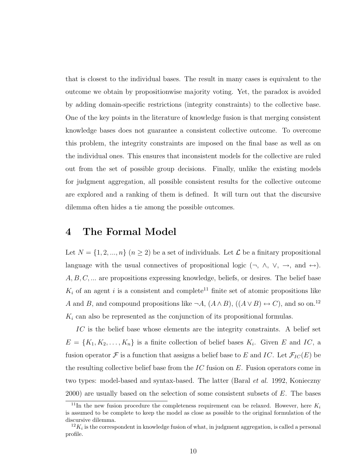that is closest to the individual bases. The result in many cases is equivalent to the outcome we obtain by propositionwise majority voting. Yet, the paradox is avoided by adding domain-specific restrictions (integrity constraints) to the collective base. One of the key points in the literature of knowledge fusion is that merging consistent knowledge bases does not guarantee a consistent collective outcome. To overcome this problem, the integrity constraints are imposed on the final base as well as on the individual ones. This ensures that inconsistent models for the collective are ruled out from the set of possible group decisions. Finally, unlike the existing models for judgment aggregation, all possible consistent results for the collective outcome are explored and a ranking of them is defined. It will turn out that the discursive dilemma often hides a tie among the possible outcomes.

#### 4 The Formal Model

Let  $N = \{1, 2, ..., n\}$   $(n \ge 2)$  be a set of individuals. Let  $\mathcal L$  be a finitary propositional language with the usual connectives of propositional logic  $(\neg, \land, \lor, \rightarrow, \text{ and } \leftrightarrow)$ .  $A, B, C, \ldots$  are propositions expressing knowledge, beliefs, or desires. The belief base  $K_i$  of an agent i is a consistent and complete<sup>11</sup> finite set of atomic propositions like A and B, and compound propositions like  $\neg A$ ,  $(A \wedge B)$ ,  $((A \vee B) \leftrightarrow C)$ , and so on.<sup>12</sup>  $K_i$  can also be represented as the conjunction of its propositional formulas.

IC is the belief base whose elements are the integrity constraints. A belief set  $E = \{K_1, K_2, \ldots, K_n\}$  is a finite collection of belief bases  $K_i$ . Given E and IC, a fusion operator  $\mathcal F$  is a function that assigns a belief base to E and IC. Let  $\mathcal F_{IC}(E)$  be the resulting collective belief base from the  $IC$  fusion on  $E$ . Fusion operators come in two types: model-based and syntax-based. The latter (Baral et al. 1992, Konieczny  $2000$ ) are usually based on the selection of some consistent subsets of  $E$ . The bases

<sup>&</sup>lt;sup>11</sup>In the new fusion procedure the completeness requirement can be relaxed. However, here  $K_i$ is assumed to be complete to keep the model as close as possible to the original formulation of the discursive dilemma.

 $^{12}K_i$  is the correspondent in knowledge fusion of what, in judgment aggregation, is called a personal profile.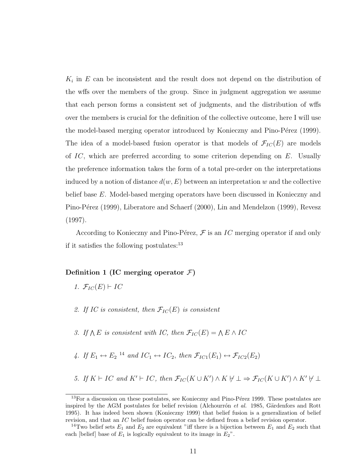$K_i$  in  $E$  can be inconsistent and the result does not depend on the distribution of the wffs over the members of the group. Since in judgment aggregation we assume that each person forms a consistent set of judgments, and the distribution of wffs over the members is crucial for the definition of the collective outcome, here I will use the model-based merging operator introduced by Konieczny and Pino-Pérez (1999). The idea of a model-based fusion operator is that models of  $\mathcal{F}_{IC}(E)$  are models of  $IC$ , which are preferred according to some criterion depending on  $E$ . Usually the preference information takes the form of a total pre-order on the interpretations induced by a notion of distance  $d(w, E)$  between an interpretation w and the collective belief base E. Model-based merging operators have been discussed in Konieczny and Pino-Pérez (1999), Liberatore and Schaerf (2000), Lin and Mendelzon (1999), Revesz (1997).

According to Konieczny and Pino-Pérez,  $\mathcal F$  is an IC merging operator if and only if it satisfies the following postulates:<sup>13</sup>

#### Definition 1 (IC merging operator  $\mathcal{F}$ )

- 1.  $\mathcal{F}_{IC}(E) \vdash IC$
- 2. If IC is consistent, then  $\mathcal{F}_{IC}(E)$  is consistent
- 3. If  $\bigwedge E$  is consistent with IC, then  $\mathcal{F}_{IC}(E) = \bigwedge E \wedge IC$
- 4. If  $E_1 \leftrightarrow E_2$  <sup>14</sup> and  $IC_1 \leftrightarrow IC_2$ , then  $\mathcal{F}_{IC1}(E_1) \leftrightarrow \mathcal{F}_{IC2}(E_2)$
- 5. If  $K \vdash IC$  and  $K' \vdash IC$ , then  $\mathcal{F}_{IC}(K \cup K') \wedge K \not\vdash \bot \Rightarrow \mathcal{F}_{IC}(K \cup K') \wedge K' \not\vdash \bot$

 $13$  For a discussion on these postulates, see Konieczny and Pino-Pérez 1999. These postulates are inspired by the AGM postulates for belief revision (Alchourrón et al. 1985, Gärdenfors and Rott 1995). It has indeed been shown (Konieczny 1999) that belief fusion is a generalization of belief revision, and that an IC belief fusion operator can be defined from a belief revision operator.

<sup>&</sup>lt;sup>14</sup>Two belief sets  $E_1$  and  $E_2$  are equivalent "iff there is a bijection between  $E_1$  and  $E_2$  such that each [belief] base of  $E_1$  is logically equivalent to its image in  $E_2$ ".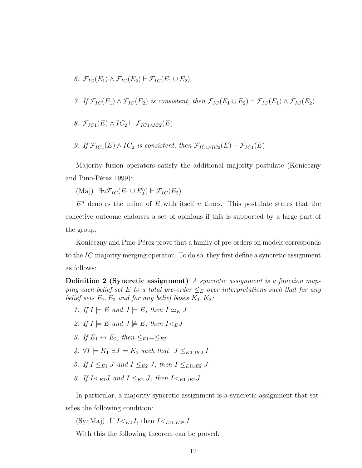- 6.  $\mathcal{F}_{IC}(E_1) \wedge \mathcal{F}_{IC}(E_2) \vdash \mathcal{F}_{IC}(E_1 \cup E_2)$
- 7. If  $\mathcal{F}_{IC}(E_1) \wedge \mathcal{F}_{IC}(E_2)$  is consistent, then  $\mathcal{F}_{IC}(E_1 \cup E_2) \vdash \mathcal{F}_{IC}(E_1) \wedge \mathcal{F}_{IC}(E_2)$
- 8.  $\mathcal{F}_{IC1}(E) \wedge IC_2 \vdash \mathcal{F}_{IC1 \wedge IC2}(E)$
- 9. If  $\mathcal{F}_{IC1}(E) \wedge IC_2$  is consistent, then  $\mathcal{F}_{IC1\wedge IC_2}(E) \vdash \mathcal{F}_{IC1}(E)$

Majority fusion operators satisfy the additional majority postulate (Konieczny and Pino-Pérez 1999):

(Maj)  $\exists n \mathcal{F}_{IC}(E_1 \cup E_2^n) \vdash \mathcal{F}_{IC}(E_2)$ 

 $E<sup>n</sup>$  denotes the union of E with itself n times. This postulate states that the collective outcome endorses a set of opinions if this is supported by a large part of the group.

Konieczny and Pino-Pérez prove that a family of pre-orders on models corresponds to the  $IC$  majority merging operator. To do so, they first define a syncretic assignment as follows:

Definition 2 (Syncretic assignment) A syncretic assignment is a function mapping each belief set E to a total pre-order  $\leq_E$  over interpretations such that for any belief sets  $E_1, E_2$  and for any belief bases  $K_1, K_2$ :

- 1. If  $I \models E$  and  $J \models E$ , then  $I \simeq_E J$
- 2. If  $I \models E$  and  $J \not\models E$ , then  $I \lt_E J$
- 3. If  $E_1 \leftrightarrow E_2$ , then  $\lt_{E_1} = \lt_{E_2}$
- 4.  $\forall I \models K_1 \exists J \models K_2$  such that  $J \leq_{K_1 \cup K_2} I$
- 5. If  $I \leq_{E1} J$  and  $I \leq_{E2} J$ , then  $I \leq_{E1 \cup E2} J$
- 6. If  $I \leq_{E1} J$  and  $I \leq_{E2} J$ , then  $I \leq_{E1 \cup E2} J$

In particular, a majority syncretic assignment is a syncretic assignment that satisfies the following condition:

(SynMaj) If  $I \lt_{E2} J$ , then  $I \lt_{E1 \cup E2^n} J$ 

With this the following theorem can be proved.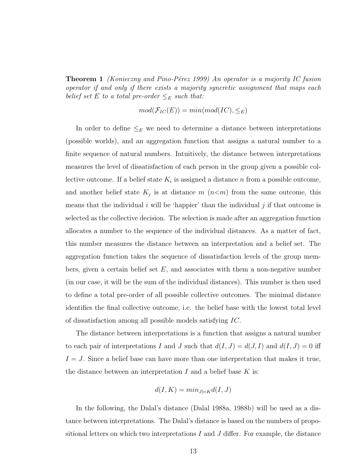**Theorem 1** (Konieczny and Pino-Pérez 1999) An operator is a majority IC fusion operator if and only if there exists a majority syncretic assignment that maps each belief set E to a total pre-order  $\leq_E$  such that:

$$
mod(\mathcal{F}_{IC}(E)) = min(mod(IC), \leq_E)
$$

In order to define  $\leq_E$  we need to determine a distance between interpretations (possible worlds), and an aggregation function that assigns a natural number to a finite sequence of natural numbers. Intuitively, the distance between interpretations measures the level of dissatisfaction of each person in the group given a possible collective outcome. If a belief state  $K_i$  is assigned a distance n from a possible outcome, and another belief state  $K_j$  is at distance  $m(n < m)$  from the same outcome, this means that the individual  $i$  will be 'happier' than the individual  $j$  if that outcome is selected as the collective decision. The selection is made after an aggregation function allocates a number to the sequence of the individual distances. As a matter of fact, this number measures the distance between an interpretation and a belief set. The aggregation function takes the sequence of dissatisfaction levels of the group members, given a certain belief set  $E$ , and associates with them a non-negative number (in our case, it will be the sum of the individual distances). This number is then used to define a total pre-order of all possible collective outcomes. The minimal distance identifies the final collective outcome, i.e. the belief base with the lowest total level of dissatisfaction among all possible models satisfying IC.

The distance between interpretations is a function that assigns a natural number to each pair of interpretations I and J such that  $d(I, J) = d(J, I)$  and  $d(I, J) = 0$  iff  $I = J$ . Since a belief base can have more than one interpretation that makes it true, the distance between an interpretation  $I$  and a belief base  $K$  is:

$$
d(I, K) = min_{J \models K} d(I, J)
$$

In the following, the Dalal's distance (Dalal 1988a, 1988b) will be used as a distance between interpretations. The Dalal's distance is based on the numbers of propositional letters on which two interpretations  $I$  and  $J$  differ. For example, the distance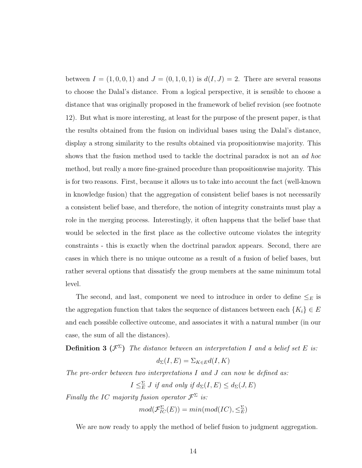between  $I = (1, 0, 0, 1)$  and  $J = (0, 1, 0, 1)$  is  $d(I, J) = 2$ . There are several reasons to choose the Dalal's distance. From a logical perspective, it is sensible to choose a distance that was originally proposed in the framework of belief revision (see footnote 12). But what is more interesting, at least for the purpose of the present paper, is that the results obtained from the fusion on individual bases using the Dalal's distance, display a strong similarity to the results obtained via propositionwise majority. This shows that the fusion method used to tackle the doctrinal paradox is not an ad hoc method, but really a more fine-grained procedure than propositionwise majority. This is for two reasons. First, because it allows us to take into account the fact (well-known in knowledge fusion) that the aggregation of consistent belief bases is not necessarily a consistent belief base, and therefore, the notion of integrity constraints must play a role in the merging process. Interestingly, it often happens that the belief base that would be selected in the first place as the collective outcome violates the integrity constraints - this is exactly when the doctrinal paradox appears. Second, there are cases in which there is no unique outcome as a result of a fusion of belief bases, but rather several options that dissatisfy the group members at the same minimum total level.

The second, and last, component we need to introduce in order to define  $\leq_E$  is the aggregation function that takes the sequence of distances between each  ${K_i} \in E$ and each possible collective outcome, and associates it with a natural number (in our case, the sum of all the distances).

**Definition 3** ( $\mathcal{F}^{\Sigma}$ ) The distance between an interpretation I and a belief set E is:

$$
d_{\Sigma}(I, E) = \Sigma_{K \in E} d(I, K)
$$

The pre-order between two interpretations  $I$  and  $J$  can now be defined as:

$$
I \leq_{E} \mathcal{I}
$$
 if and only if  $d_{\Sigma}(I, E) \leq d_{\Sigma}(J, E)$ 

Finally the IC majority fusion operator  $\mathcal{F}^{\Sigma}$  is:

$$
mod(\mathcal{F}_{IC}^{\Sigma}(E)) = min(mod(IC), \leq_{E}^{\Sigma})
$$

We are now ready to apply the method of belief fusion to judgment aggregation.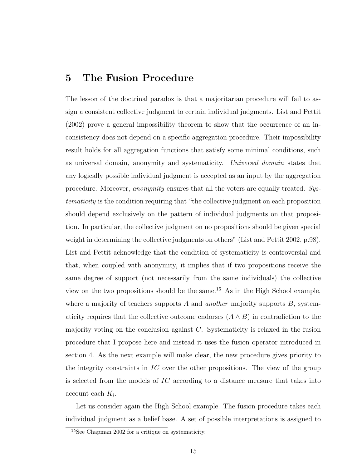#### 5 The Fusion Procedure

The lesson of the doctrinal paradox is that a majoritarian procedure will fail to assign a consistent collective judgment to certain individual judgments. List and Pettit (2002) prove a general impossibility theorem to show that the occurrence of an inconsistency does not depend on a specific aggregation procedure. Their impossibility result holds for all aggregation functions that satisfy some minimal conditions, such as universal domain, anonymity and systematicity. Universal domain states that any logically possible individual judgment is accepted as an input by the aggregation procedure. Moreover, anonymity ensures that all the voters are equally treated. Systematicity is the condition requiring that "the collective judgment on each proposition should depend exclusively on the pattern of individual judgments on that proposition. In particular, the collective judgment on no propositions should be given special weight in determining the collective judgments on others" (List and Pettit 2002, p.98). List and Pettit acknowledge that the condition of systematicity is controversial and that, when coupled with anonymity, it implies that if two propositions receive the same degree of support (not necessarily from the same individuals) the collective view on the two propositions should be the same.<sup>15</sup> As in the High School example, where a majority of teachers supports A and another majority supports  $B$ , systematicity requires that the collective outcome endorses  $(A \wedge B)$  in contradiction to the majority voting on the conclusion against  $C$ . Systematicity is relaxed in the fusion procedure that I propose here and instead it uses the fusion operator introduced in section 4. As the next example will make clear, the new procedure gives priority to the integrity constraints in  $\mathcal{I}C$  over the other propositions. The view of the group is selected from the models of  $IC$  according to a distance measure that takes into  $\alpha$ ccount each  $K_i$ .

Let us consider again the High School example. The fusion procedure takes each individual judgment as a belief base. A set of possible interpretations is assigned to

<sup>15</sup>See Chapman 2002 for a critique on systematicity.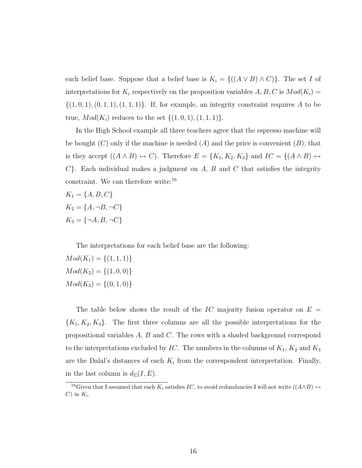each belief base. Suppose that a belief base is  $K_i = \{((A \lor B) \land C)\}\.$  The set I of interpretations for  $K_i$  respectively on the proposition variables  $A, B, C$  is  $Mod(K_i) =$  $\{(1,0,1), (0,1,1), (1,1,1)\}.$  If, for example, an integrity constraint requires A to be true,  $Mod(K_i)$  reduces to the set  $\{(1, 0, 1), (1, 1, 1)\}.$ 

In the High School example all three teachers agree that the espresso machine will be bought  $(C)$  only if the machine is needed  $(A)$  and the price is convenient  $(B)$ ; that is they accept  $((A \wedge B) \leftrightarrow C)$ . Therefore  $E = \{K_1, K_2, K_3\}$  and  $IC = \{(A \wedge B) \leftrightarrow$  $C$ . Each individual makes a judgment on  $A, B$  and  $C$  that satisfies the integrity constraint. We can therefore write:<sup>16</sup>

$$
K_1 = \{A, B, C\}
$$
  
\n
$$
K_2 = \{A, \neg B, \neg C\}
$$
  
\n
$$
K_3 = \{\neg A, B, \neg C\}
$$

The interpretations for each belief base are the following:

 $Mod(K_1) = \{(1, 1, 1)\}\$  $Mod(K_2) = \{(1, 0, 0)\}\$  $Mod(K_3) = \{(0, 1, 0)\}\$ 

The table below shows the result of the IC majority fusion operator on  $E =$  ${K_1, K_2, K_3}$ . The first three columns are all the possible interpretations for the propositional variables  $A, B$  and  $C$ . The rows with a shaded background correspond to the interpretations excluded by IC. The numbers in the columns of  $K_1$ ,  $K_2$  and  $K_3$ are the Dalal's distances of each  $K_i$  from the correspondent interpretation. Finally, in the last column is  $d_{\Sigma}(I, E)$ .

<sup>&</sup>lt;sup>16</sup>Given that I assumed that each  $K_i$  satisfies IC, to avoid redundancies I will not write  $((A \wedge B) \leftrightarrow$ C) in  $K_i$ .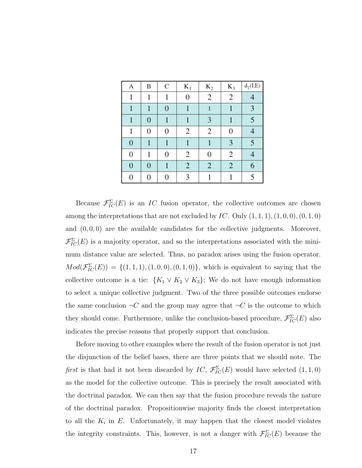| А | B        | C | $K_1$          | $K_2$          | $K_3$ | $d_{\Sigma}(I, E)$ |
|---|----------|---|----------------|----------------|-------|--------------------|
|   |          |   |                | 2              | 2     |                    |
|   |          |   |                |                |       |                    |
|   |          |   |                |                |       | z                  |
|   | $\Omega$ | ∩ | $\overline{c}$ | $\overline{c}$ | 0     |                    |
|   |          |   |                |                |       |                    |
|   |          |   | 2              |                | 2     |                    |
|   |          |   |                |                |       |                    |
|   |          |   |                |                |       |                    |

Because  $\mathcal{F}_{IC}^{\Sigma}(E)$  is an IC fusion operator, the collective outcomes are chosen among the interpretations that are not excluded by  $IC$ . Only  $(1, 1, 1), (1, 0, 0), (0, 1, 0)$ and  $(0, 0, 0)$  are the available candidates for the collective judgments. Moreover,  $\mathcal{F}_{IC}^{\Sigma}(E)$  is a majority operator, and so the interpretations associated with the minimum distance value are selected. Thus, no paradox arises using the fusion operator.  $Mod(\mathcal{F}_{IC}^{\Sigma}(E)) = \{(1,1,1), (1,0,0), (0,1,0)\},$  which is equivalent to saying that the collective outcome is a tie:  $\{K_1 \vee K_2 \vee K_3\}$ ; We do not have enough information to select a unique collective judgment. Two of the three possible outcomes endorse the same conclusion  $\neg C$  and the group may agree that  $\neg C$  is the outcome to which they should come. Furthermore, unlike the conclusion-based procedure,  $\mathcal{F}_{IC}^{\Sigma}(E)$  also indicates the precise reasons that properly support that conclusion.

Before moving to other examples where the result of the fusion operator is not just the disjunction of the belief bases, there are three points that we should note. The first is that had it not been discarded by  $IC, \mathcal{F}_{IC}^{\Sigma}(E)$  would have selected  $(1,1,0)$ as the model for the collective outcome. This is precisely the result associated with the doctrinal paradox. We can then say that the fusion procedure reveals the nature of the doctrinal paradox. Propositionwise majority finds the closest interpretation to all the  $K_i$  in  $E$ . Unfortunately, it may happen that the closest model violates the integrity constraints. This, however, is not a danger with  $\mathcal{F}_{IC}^{\Sigma}(E)$  because the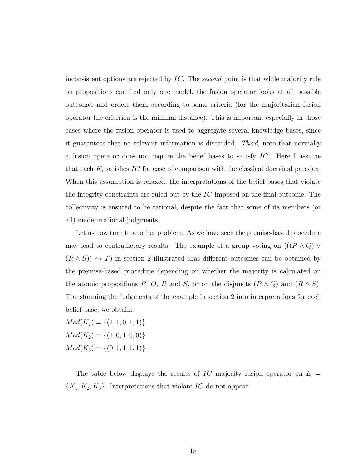inconsistent options are rejected by IC. The second point is that while majority rule on propositions can find only one model, the fusion operator looks at all possible outcomes and orders them according to some criteria (for the majoritarian fusion operator the criterion is the minimal distance). This is important especially in those cases where the fusion operator is used to aggregate several knowledge bases, since it guarantees that no relevant information is discarded. Third, note that normally a fusion operator does not require the belief bases to satisfy  $IC$ . Here I assume that each  $K_i$  satisfies IC for ease of comparison with the classical doctrinal paradox. When this assumption is relaxed, the interpretations of the belief bases that violate the integrity constraints are ruled out by the IC imposed on the final outcome. The collectivity is ensured to be rational, despite the fact that some of its members (or all) made irrational judgments.

Let us now turn to another problem. As we have seen the premise-based procedure may lead to contradictory results. The example of a group voting on  $((P \wedge Q) \vee$  $(R \wedge S)$  → T) in section 2 illustrated that different outcomes can be obtained by the premise-based procedure depending on whether the majority is calculated on the atomic propositions P, Q, R and S, or on the disjuncts  $(P \wedge Q)$  and  $(R \wedge S)$ . Transforming the judgments of the example in section 2 into interpretations for each belief base, we obtain:

 $Mod(K_1) = \{(1,1,0,1,1)\}$  $Mod(K_2) = \{(1, 0, 1, 0, 0)\}$  $Mod(K_3) = \{(0, 1, 1, 1, 1)\}$ 

The table below displays the results of IC majority fusion operator on  $E =$  ${K_1, K_2, K_3}$ . Interpretations that violate IC do not appear.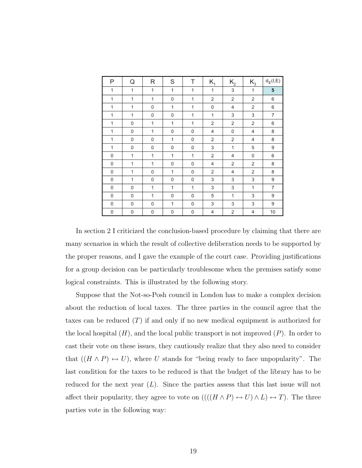| Ρ | Q | R | S | Т | $K_{1}$ | $K_{2}$ | $K_3$ | $\mathsf{d}_{\Sigma}(\mathsf{I},\mathsf{E})$ |
|---|---|---|---|---|---------|---------|-------|----------------------------------------------|
| 1 | 1 | 1 | 1 | 1 | 1       | 3       | 1     | 5                                            |
| 1 | 1 | 1 | 0 | 1 | 2       | 2       | 2     | 6                                            |
| 1 | 1 | 0 | 1 | 1 | 0       | 4       | 2     | 6                                            |
| 1 | 1 | 0 | 0 | 1 | 1       | 3       | 3     | 7                                            |
| 1 | 0 | 1 | 1 | 1 | 2       | 2       | 2     | 6                                            |
| 1 | 0 | 1 | 0 | 0 | 4       | 0       | 4     | 8                                            |
| 1 | 0 | 0 | 1 | 0 | 2       | 2       | 4     | 8                                            |
| 1 | 0 | 0 | 0 | 0 | 3       | 1       | 5     | 9                                            |
| 0 | 1 | 1 | 1 | 1 | 2       | 4       | 0     | 6                                            |
| 0 | 1 | 1 | 0 | 0 | 4       | 2       | 2     | 8                                            |
| 0 | 1 | 0 | 1 | 0 | 2       | 4       | 2     | 8                                            |
| 0 | 1 | 0 | 0 | 0 | 3       | 3       | 3     | 9                                            |
| 0 | 0 | 1 | 1 | 1 | 3       | 3       | 1     | 7                                            |
| 0 | 0 | 1 | 0 | 0 | 5       | 1       | 3     | 9                                            |
| 0 | 0 | 0 | 1 | 0 | 3       | 3       | 3     | 9                                            |
| 0 | 0 | 0 | 0 | 0 | 4       | 2       | 4     | 10                                           |

In section 2 I criticized the conclusion-based procedure by claiming that there are many scenarios in which the result of collective deliberation needs to be supported by the proper reasons, and I gave the example of the court case. Providing justifications for a group decision can be particularly troublesome when the premises satisfy some logical constraints. This is illustrated by the following story.

Suppose that the Not-so-Posh council in London has to make a complex decision about the reduction of local taxes. The three parties in the council agree that the taxes can be reduced  $(T)$  if and only if no new medical equipment is authorized for the local hospital  $(H)$ , and the local public transport is not improved  $(P)$ . In order to cast their vote on these issues, they cautiously realize that they also need to consider that  $((H \wedge P) \leftrightarrow U)$ , where U stands for "being ready to face unpopularity". The last condition for the taxes to be reduced is that the budget of the library has to be reduced for the next year  $(L)$ . Since the parties assess that this last issue will not affect their popularity, they agree to vote on  $(((H \wedge P) \leftrightarrow U) \wedge L) \leftrightarrow T)$ . The three parties vote in the following way: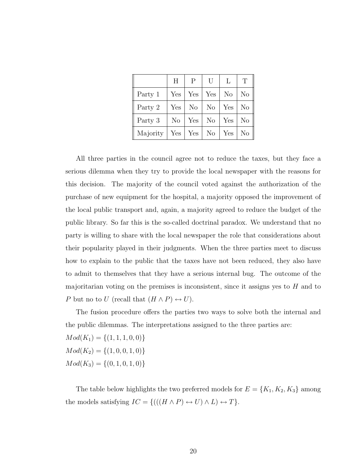|          | H        | P              | U              | L              | T              |
|----------|----------|----------------|----------------|----------------|----------------|
| Party 1  | Yes      | Yes            | Yes            | N <sub>o</sub> | N <sub>o</sub> |
| Party 2  | Yes      | N <sub>o</sub> | N <sub>o</sub> | Yes            | N <sub>o</sub> |
| Party 3  | $\rm No$ | Yes            | No             | Yes            | N <sub>o</sub> |
| Majority | Yes      | Yes            | $\mid$ No      | Yes            | $\rm No$       |

All three parties in the council agree not to reduce the taxes, but they face a serious dilemma when they try to provide the local newspaper with the reasons for this decision. The majority of the council voted against the authorization of the purchase of new equipment for the hospital, a majority opposed the improvement of the local public transport and, again, a majority agreed to reduce the budget of the public library. So far this is the so-called doctrinal paradox. We understand that no party is willing to share with the local newspaper the role that considerations about their popularity played in their judgments. When the three parties meet to discuss how to explain to the public that the taxes have not been reduced, they also have to admit to themselves that they have a serious internal bug. The outcome of the majoritarian voting on the premises is inconsistent, since it assigns yes to  $H$  and to P but no to U (recall that  $(H \wedge P) \leftrightarrow U$ ).

The fusion procedure offers the parties two ways to solve both the internal and the public dilemmas. The interpretations assigned to the three parties are:

 $Mod(K_1) = \{(1, 1, 1, 0, 0)\}\$  $Mod(K_2) = \{(1, 0, 0, 1, 0)\}\$  $Mod(K_3) = \{(0, 1, 0, 1, 0)\}\$ 

The table below highlights the two preferred models for  $E = \{K_1, K_2, K_3\}$  among the models satisfying  $IC = \{(((H \wedge P) \leftrightarrow U) \wedge L) \leftrightarrow T\}.$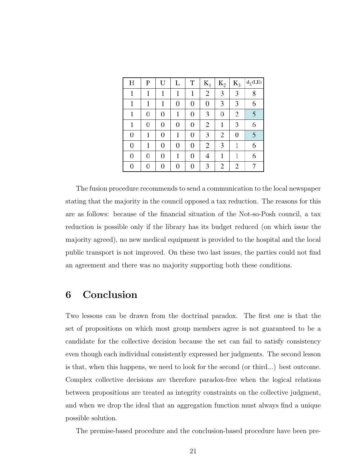| Η                | P              | U | L                | T                | $K_{1}$ | $K_2$          | $K_3$ | $d_{\Sigma}(I,E)$ |
|------------------|----------------|---|------------------|------------------|---------|----------------|-------|-------------------|
|                  |                |   |                  |                  | 2       | 3              | 3     | 8                 |
|                  |                |   | $\boldsymbol{0}$ | 0                | 0       | 3              | 3     | 6                 |
|                  | $\overline{0}$ | 0 |                  | $\boldsymbol{0}$ | 3       | $\overline{0}$ | 2     | 5                 |
|                  | 0              | 0 | $\boldsymbol{0}$ | 0                | 2       |                | 3     | 6                 |
| $\boldsymbol{0}$ |                | 0 |                  | 0                | 3       | $\overline{2}$ | 0     | 5                 |
| 0                |                | 0 | $\boldsymbol{0}$ | 0                | 2       | 3              |       | 6                 |
| 0                | $\overline{0}$ | 0 |                  | 0                |         |                |       | 6                 |
| 0                | 0              | 0 | 0                | 0                | 3       | 2              | 2     |                   |

The fusion procedure recommends to send a communication to the local newspaper stating that the majority in the council opposed a tax reduction. The reasons for this are as follows: because of the financial situation of the Not-so-Posh council, a tax reduction is possible only if the library has its budget reduced (on which issue the majority agreed), no new medical equipment is provided to the hospital and the local public transport is not improved. On these two last issues, the parties could not find an agreement and there was no majority supporting both these conditions.

## 6 Conclusion

Two lessons can be drawn from the doctrinal paradox. The first one is that the set of propositions on which most group members agree is not guaranteed to be a candidate for the collective decision because the set can fail to satisfy consistency even though each individual consistently expressed her judgments. The second lesson is that, when this happens, we need to look for the second (or third...) best outcome. Complex collective decisions are therefore paradox-free when the logical relations between propositions are treated as integrity constraints on the collective judgment, and when we drop the ideal that an aggregation function must always find a unique possible solution.

The premise-based procedure and the conclusion-based procedure have been pre-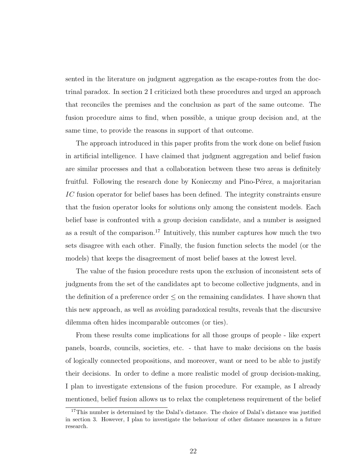sented in the literature on judgment aggregation as the escape-routes from the doctrinal paradox. In section 2 I criticized both these procedures and urged an approach that reconciles the premises and the conclusion as part of the same outcome. The fusion procedure aims to find, when possible, a unique group decision and, at the same time, to provide the reasons in support of that outcome.

The approach introduced in this paper profits from the work done on belief fusion in artificial intelligence. I have claimed that judgment aggregation and belief fusion are similar processes and that a collaboration between these two areas is definitely fruitful. Following the research done by Konieczny and Pino-Pérez, a majoritarian IC fusion operator for belief bases has been defined. The integrity constraints ensure that the fusion operator looks for solutions only among the consistent models. Each belief base is confronted with a group decision candidate, and a number is assigned as a result of the comparison.<sup>17</sup> Intuitively, this number captures how much the two sets disagree with each other. Finally, the fusion function selects the model (or the models) that keeps the disagreement of most belief bases at the lowest level.

The value of the fusion procedure rests upon the exclusion of inconsistent sets of judgments from the set of the candidates apt to become collective judgments, and in the definition of a preference order  $\leq$  on the remaining candidates. I have shown that this new approach, as well as avoiding paradoxical results, reveals that the discursive dilemma often hides incomparable outcomes (or ties).

From these results come implications for all those groups of people - like expert panels, boards, councils, societies, etc. - that have to make decisions on the basis of logically connected propositions, and moreover, want or need to be able to justify their decisions. In order to define a more realistic model of group decision-making, I plan to investigate extensions of the fusion procedure. For example, as I already mentioned, belief fusion allows us to relax the completeness requirement of the belief

<sup>&</sup>lt;sup>17</sup>This number is determined by the Dalal's distance. The choice of Dalal's distance was justified in section 3. However, I plan to investigate the behaviour of other distance measures in a future research.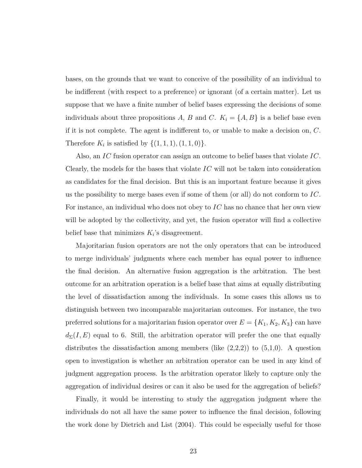bases, on the grounds that we want to conceive of the possibility of an individual to be indifferent (with respect to a preference) or ignorant (of a certain matter). Let us suppose that we have a finite number of belief bases expressing the decisions of some individuals about three propositions A, B and C.  $K_i = \{A, B\}$  is a belief base even if it is not complete. The agent is indifferent to, or unable to make a decision on, C. Therefore  $K_i$  is satisfied by  $\{(1,1,1),(1,1,0)\}.$ 

Also, an IC fusion operator can assign an outcome to belief bases that violate IC. Clearly, the models for the bases that violate  $IC$  will not be taken into consideration as candidates for the final decision. But this is an important feature because it gives us the possibility to merge bases even if some of them (or all) do not conform to  $IC$ . For instance, an individual who does not obey to IC has no chance that her own view will be adopted by the collectivity, and yet, the fusion operator will find a collective belief base that minimizes  $K_i$ 's disagreement.

Majoritarian fusion operators are not the only operators that can be introduced to merge individuals' judgments where each member has equal power to influence the final decision. An alternative fusion aggregation is the arbitration. The best outcome for an arbitration operation is a belief base that aims at equally distributing the level of dissatisfaction among the individuals. In some cases this allows us to distinguish between two incomparable majoritarian outcomes. For instance, the two preferred solutions for a majoritarian fusion operator over  $E = \{K_1, K_2, K_3\}$  can have  $d_{\Sigma}(I, E)$  equal to 6. Still, the arbitration operator will prefer the one that equally distributes the dissatisfaction among members (like  $(2,2,2)$ ) to  $(5,1,0)$ . A question open to investigation is whether an arbitration operator can be used in any kind of judgment aggregation process. Is the arbitration operator likely to capture only the aggregation of individual desires or can it also be used for the aggregation of beliefs?

Finally, it would be interesting to study the aggregation judgment where the individuals do not all have the same power to influence the final decision, following the work done by Dietrich and List (2004). This could be especially useful for those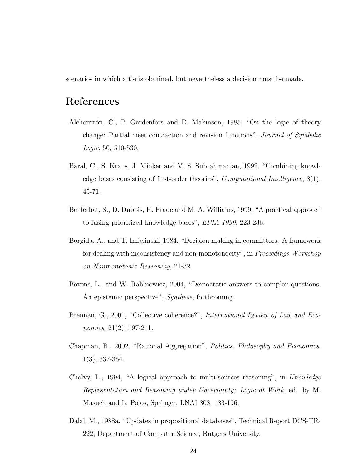scenarios in which a tie is obtained, but nevertheless a decision must be made.

#### References

- Alchourrón, C., P. Gärdenfors and D. Makinson, 1985, "On the logic of theory change: Partial meet contraction and revision functions", Journal of Symbolic Logic, 50, 510-530.
- Baral, C., S. Kraus, J. Minker and V. S. Subrahmanian, 1992, "Combining knowledge bases consisting of first-order theories", *Computational Intelligence*,  $8(1)$ , 45-71.
- Benferhat, S., D. Dubois, H. Prade and M. A. Williams, 1999, "A practical approach to fusing prioritized knowledge bases", EPIA 1999, 223-236.
- Borgida, A., and T. Imielinski, 1984, "Decision making in committees: A framework for dealing with inconsistency and non-monotonocity", in Proceedings Workshop on Nonmonotonic Reasoning, 21-32.
- Bovens, L., and W. Rabinowicz, 2004, "Democratic answers to complex questions. An epistemic perspective", *Synthese*, forthcoming.
- Brennan, G., 2001, "Collective coherence?", International Review of Law and Economics, 21(2), 197-211.
- Chapman, B., 2002, "Rational Aggregation", Politics, Philosophy and Economics, 1(3), 337-354.
- Cholvy, L., 1994, "A logical approach to multi-sources reasoning", in Knowledge Representation and Reasoning under Uncertainty: Logic at Work, ed. by M. Masuch and L. Polos, Springer, LNAI 808, 183-196.
- Dalal, M., 1988a, "Updates in propositional databases", Technical Report DCS-TR-222, Department of Computer Science, Rutgers University.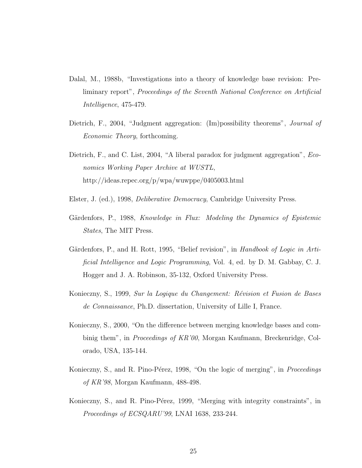- Dalal, M., 1988b, "Investigations into a theory of knowledge base revision: Preliminary report", Proceedings of the Seventh National Conference on Artificial Intelligence, 475-479.
- Dietrich, F., 2004, "Judgment aggregation: (Im)possibility theorems", *Journal of* Economic Theory, forthcoming.
- Dietrich, F., and C. List, 2004, "A liberal paradox for judgment aggregation", *Eco*nomics Working Paper Archive at WUSTL, http://ideas.repec.org/p/wpa/wuwppe/0405003.html
- Elster, J. (ed.), 1998, Deliberative Democracy, Cambridge University Press.
- Gärdenfors, P., 1988, *Knowledge in Flux: Modeling the Dynamics of Epistemic* States, The MIT Press.
- Gärdenfors, P., and H. Rott, 1995, "Belief revision", in Handbook of Logic in Artificial Intelligence and Logic Programming, Vol. 4, ed. by D. M. Gabbay, C. J. Hogger and J. A. Robinson, 35-132, Oxford University Press.
- Konieczny, S., 1999, Sur la Logique du Changement: Révision et Fusion de Bases de Connaissance, Ph.D. dissertation, University of Lille I, France.
- Konieczny, S., 2000, "On the difference between merging knowledge bases and combinig them", in *Proceedings of KR'00*, Morgan Kaufmann, Breckenridge, Colorado, USA, 135-144.
- Konieczny, S., and R. Pino-Pérez, 1998, "On the logic of merging", in *Proceedings* of KR'98, Morgan Kaufmann, 488-498.
- Konieczny, S., and R. Pino-Pérez, 1999, "Merging with integrity constraints", in Proceedings of ECSQARU'99, LNAI 1638, 233-244.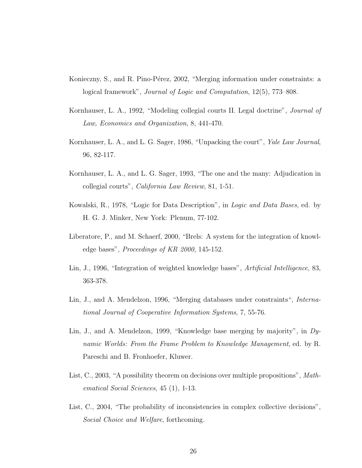- Konieczny, S., and R. Pino-Pérez, 2002, "Merging information under constraints: a logical framework", Journal of Logic and Computation, 12(5), 773–808.
- Kornhauser, L. A., 1992, "Modeling collegial courts II. Legal doctrine", Journal of Law, Economics and Organization, 8, 441-470.
- Kornhauser, L. A., and L. G. Sager, 1986, "Unpacking the court", Yale Law Journal, 96, 82-117.
- Kornhauser, L. A., and L. G. Sager, 1993, "The one and the many: Adjudication in collegial courts", California Law Review, 81, 1-51.
- Kowalski, R., 1978, "Logic for Data Description", in Logic and Data Bases, ed. by H. G. J. Minker, New York: Plenum, 77-102.
- Liberatore, P., and M. Schaerf, 2000, "Brels: A system for the integration of knowledge bases", Proceedings of KR 2000, 145-152.
- Lin, J., 1996, "Integration of weighted knowledge bases", *Artificial Intelligence*, 83, 363-378.
- Lin, J., and A. Mendelzon, 1996, "Merging databases under constraints", *Interna*tional Journal of Cooperative Information Systems, 7, 55-76.
- Lin, J., and A. Mendelzon, 1999, "Knowledge base merging by majority", in Dynamic Worlds: From the Frame Problem to Knowledge Management, ed. by R. Pareschi and B. Fronhoefer, Kluwer.
- List, C., 2003, "A possibility theorem on decisions over multiple propositions", Mathematical Social Sciences, 45 (1), 1-13.
- List, C., 2004, "The probability of inconsistencies in complex collective decisions", Social Choice and Welfare, forthcoming.